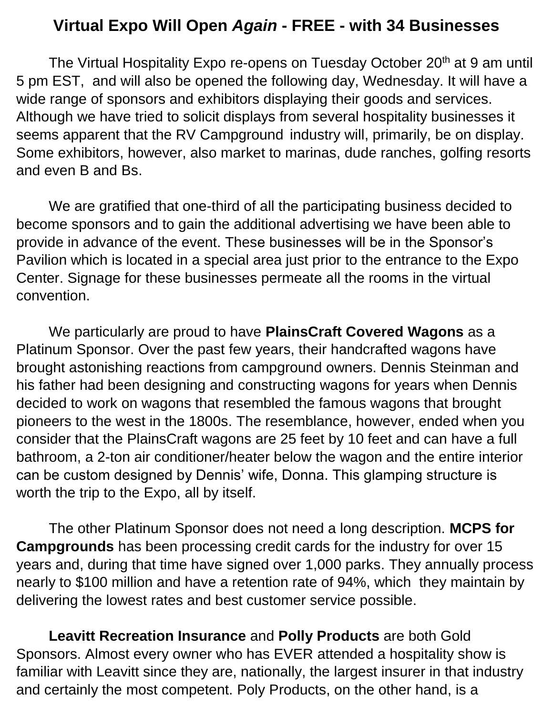## **Virtual Expo Will Open** *Again* **- FREE - with 34 Businesses**

The Virtual Hospitality Expo re-opens on Tuesday October 20<sup>th</sup> at 9 am until 5 pm EST, and will also be opened the following day, Wednesday. It will have a wide range of sponsors and exhibitors displaying their goods and services. Although we have tried to solicit displays from several hospitality businesses it seems apparent that the RV Campground industry will, primarily, be on display. Some exhibitors, however, also market to marinas, dude ranches, golfing resorts and even B and Bs.

We are gratified that one-third of all the participating business decided to become sponsors and to gain the additional advertising we have been able to provide in advance of the event. These businesses will be in the Sponsor's Pavilion which is located in a special area just prior to the entrance to the Expo Center. Signage for these businesses permeate all the rooms in the virtual convention.

We particularly are proud to have **PlainsCraft Covered Wagons** as a Platinum Sponsor. Over the past few years, their handcrafted wagons have brought astonishing reactions from campground owners. Dennis Steinman and his father had been designing and constructing wagons for years when Dennis decided to work on wagons that resembled the famous wagons that brought pioneers to the west in the 1800s. The resemblance, however, ended when you consider that the PlainsCraft wagons are 25 feet by 10 feet and can have a full bathroom, a 2-ton air conditioner/heater below the wagon and the entire interior can be custom designed by Dennis' wife, Donna. This glamping structure is worth the trip to the Expo, all by itself.

The other Platinum Sponsor does not need a long description. **MCPS for Campgrounds** has been processing credit cards for the industry for over 15 years and, during that time have signed over 1,000 parks. They annually process nearly to \$100 million and have a retention rate of 94%, which they maintain by delivering the lowest rates and best customer service possible.

**Leavitt Recreation Insurance** and **Polly Products** are both Gold Sponsors. Almost every owner who has EVER attended a hospitality show is familiar with Leavitt since they are, nationally, the largest insurer in that industry and certainly the most competent. Poly Products, on the other hand, is a